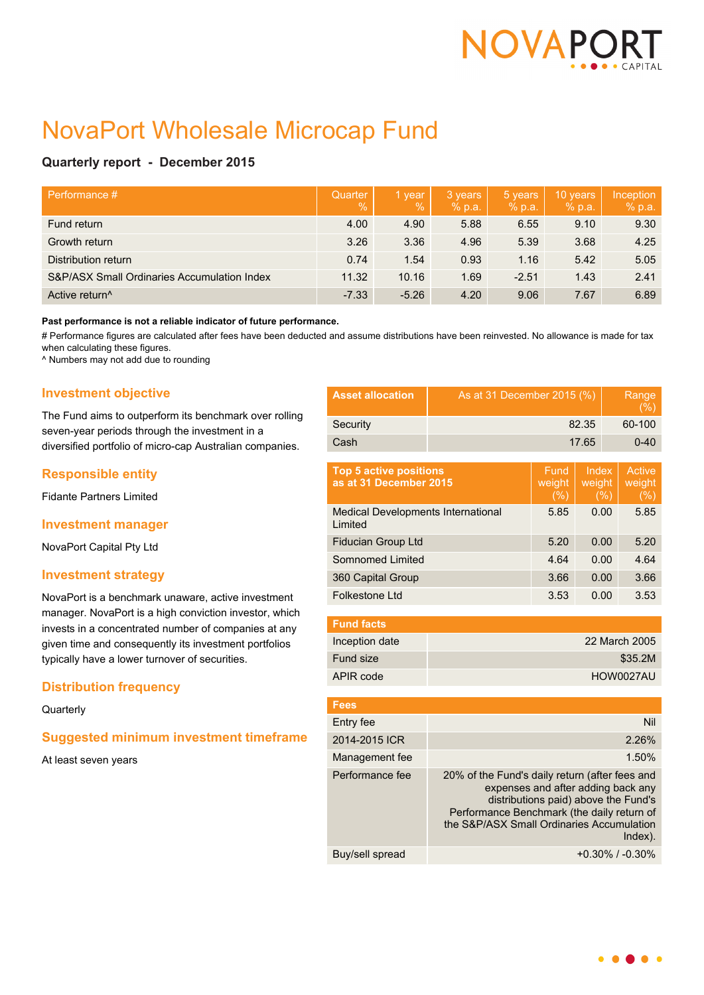

# NovaPort Wholesale Microcap Fund

# **Quarterly report - December 2015**

| Performance #                               | Quarter<br>$\mathcal{O}_0$ | 1 year<br>$\frac{9}{6}$ | 3 years<br>% p.a. | 5 years<br>% p.a. | 10 years<br>% p.a. | Inception<br>% p.a. |
|---------------------------------------------|----------------------------|-------------------------|-------------------|-------------------|--------------------|---------------------|
| Fund return                                 | 4.00                       | 4.90                    | 5.88              | 6.55              | 9.10               | 9.30                |
| Growth return                               | 3.26                       | 3.36                    | 4.96              | 5.39              | 3.68               | 4.25                |
| Distribution return                         | 0.74                       | 1.54                    | 0.93              | 1.16              | 5.42               | 5.05                |
| S&P/ASX Small Ordinaries Accumulation Index | 11.32                      | 10.16                   | 1.69              | $-2.51$           | 1.43               | 2.41                |
| Active return <sup>^</sup>                  | $-7.33$                    | $-5.26$                 | 4.20              | 9.06              | 7.67               | 6.89                |

#### **Past performance is not a reliable indicator of future performance.**

# Performance figures are calculated after fees have been deducted and assume distributions have been reinvested. No allowance is made for tax when calculating these figures.

^ Numbers may not add due to rounding

# **Investment objective**

The Fund aims to outperform its benchmark over rolling seven-year periods through the investment in a diversified portfolio of micro-cap Australian companies.

# **Responsible entity**

Fidante Partners Limited

### **Investment manager**

NovaPort Capital Pty Ltd

## **Investment strategy**

NovaPort is a benchmark unaware, active investment manager. NovaPort is a high conviction investor, which invests in a concentrated number of companies at any given time and consequently its investment portfolios typically have a lower turnover of securities.

# **Distribution frequency**

#### **Quarterly**

# **Suggested minimum investment timeframe**

At least seven years

| <b>Asset allocation</b>                                 | As at 31 December 2015 (%)                                                                                                                                                                                                            |                                   |      | Range<br>(% )               |      |
|---------------------------------------------------------|---------------------------------------------------------------------------------------------------------------------------------------------------------------------------------------------------------------------------------------|-----------------------------------|------|-----------------------------|------|
| Security                                                | 82.35                                                                                                                                                                                                                                 |                                   |      | 60-100                      |      |
| Cash                                                    | 17.65                                                                                                                                                                                                                                 |                                   |      | $0 - 40$                    |      |
| <b>Top 5 active positions</b><br>as at 31 December 2015 | Fund<br>weight<br>(%)                                                                                                                                                                                                                 | <b>Index</b><br>weight<br>$(\% )$ |      | Active<br>weight<br>$(\% )$ |      |
| Medical Developments International<br>I imited          |                                                                                                                                                                                                                                       | 5.85                              | 0.00 |                             | 5.85 |
| <b>Fiducian Group Ltd</b>                               |                                                                                                                                                                                                                                       | 5.20                              | 0.00 |                             | 5.20 |
| Somnomed Limited                                        |                                                                                                                                                                                                                                       | 4.64                              | 0.00 |                             | 4.64 |
| 360 Capital Group                                       |                                                                                                                                                                                                                                       | 3.66                              | 0.00 |                             | 3.66 |
| Folkestone Ltd                                          |                                                                                                                                                                                                                                       | 3.53                              | 0.00 |                             | 3.53 |
| <b>Fund facts</b>                                       |                                                                                                                                                                                                                                       |                                   |      |                             |      |
| Inception date                                          | 22 March 2005                                                                                                                                                                                                                         |                                   |      |                             |      |
| Fund size                                               | \$35.2M                                                                                                                                                                                                                               |                                   |      |                             |      |
| APIR code                                               | HOW0027AU                                                                                                                                                                                                                             |                                   |      |                             |      |
| <b>Fees</b>                                             |                                                                                                                                                                                                                                       |                                   |      |                             |      |
| Entry fee                                               |                                                                                                                                                                                                                                       |                                   |      |                             | Nil  |
| 2014-2015 ICR                                           | 2.26%                                                                                                                                                                                                                                 |                                   |      |                             |      |
| Management fee                                          | 1.50%                                                                                                                                                                                                                                 |                                   |      |                             |      |
| Performance fee                                         | 20% of the Fund's daily return (after fees and<br>expenses and after adding back any<br>distributions paid) above the Fund's<br>Performance Benchmark (the daily return of<br>the S&P/ASX Small Ordinaries Accumulation<br>$Index)$ . |                                   |      |                             |      |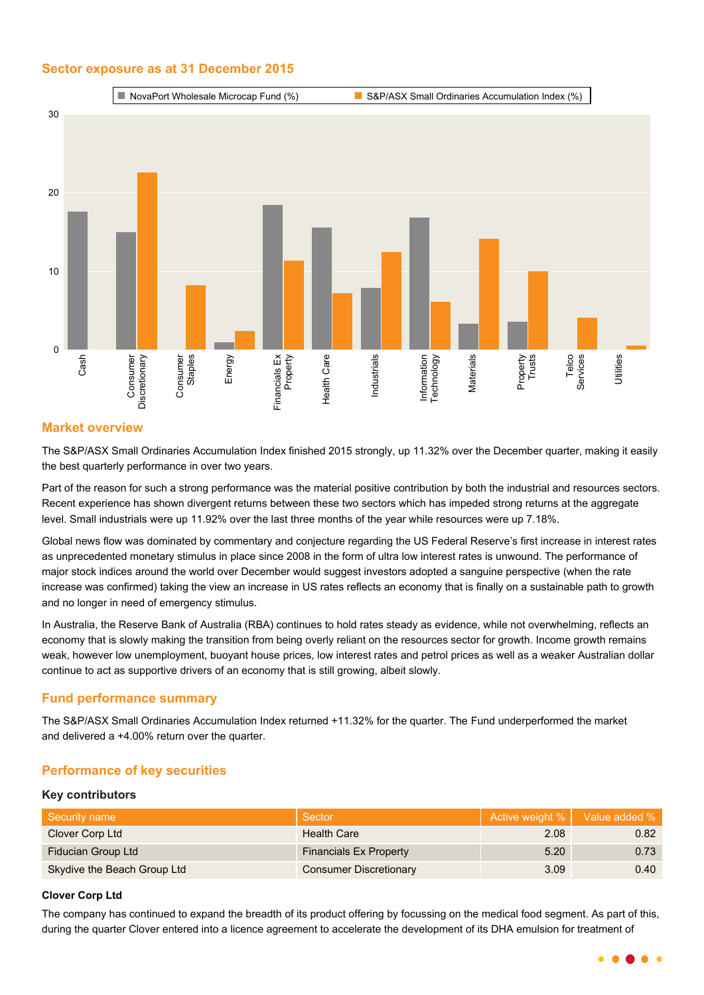# **Sector exposure as at 31 December 2015**



# **Market overview**

The S&P/ASX Small Ordinaries Accumulation Index finished 2015 strongly, up 11.32% over the December quarter, making it easily the best quarterly performance in over two years.

Part of the reason for such a strong performance was the material positive contribution by both the industrial and resources sectors. Recent experience has shown divergent returns between these two sectors which has impeded strong returns at the aggregate level. Small industrials were up 11.92% over the last three months of the year while resources were up 7.18%.

Global news flow was dominated by commentary and conjecture regarding the US Federal Reserve's first increase in interest rates as unprecedented monetary stimulus in place since 2008 in the form of ultra low interest rates is unwound. The performance of major stock indices around the world over December would suggest investors adopted a sanguine perspective (when the rate increase was confirmed) taking the view an increase in US rates reflects an economy that is finally on a sustainable path to growth and no longer in need of emergency stimulus.

In Australia, the Reserve Bank of Australia (RBA) continues to hold rates steady as evidence, while not overwhelming, reflects an economy that is slowly making the transition from being overly reliant on the resources sector for growth. Income growth remains weak, however low unemployment, buoyant house prices, low interest rates and petrol prices as well as a weaker Australian dollar continue to act as supportive drivers of an economy that is still growing, albeit slowly.

# **Fund performance summary**

The S&P/ASX Small Ordinaries Accumulation Index returned +11.32% for the quarter. The Fund underperformed the market and delivered a +4.00% return over the quarter.

# **Performance of key securities**

#### **Key contributors**

| Security name               | Sector                        | Active weight % | Value added % |
|-----------------------------|-------------------------------|-----------------|---------------|
| Clover Corp Ltd             | Health Care                   | 2.08            | 0.82          |
| Fiducian Group Ltd          | <b>Financials Ex Property</b> | 5.20            | 0.73          |
| Skydive the Beach Group Ltd | <b>Consumer Discretionary</b> | 3.09            | 0.40          |

#### **Clover Corp Ltd**

The company has continued to expand the breadth of its product offering by focussing on the medical food segment. As part of this, during the quarter Clover entered into a licence agreement to accelerate the development of its DHA emulsion for treatment of